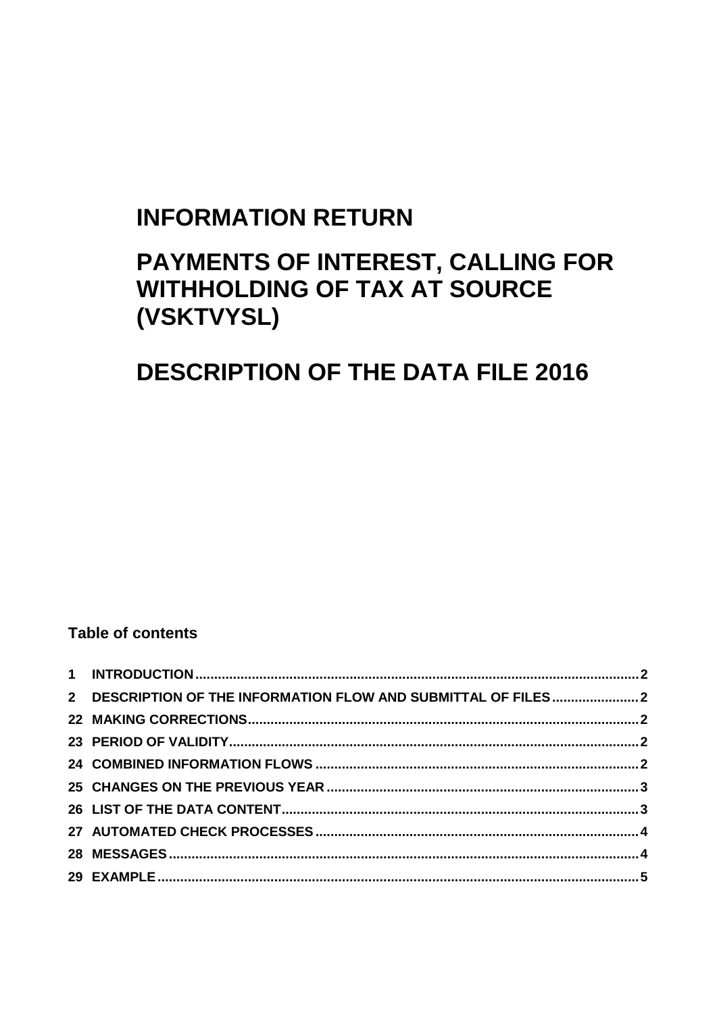# **INFORMATION RETURN**

# PAYMENTS OF INTEREST, CALLING FOR **WITHHOLDING OF TAX AT SOURCE** (VSKTVYSL)

# **DESCRIPTION OF THE DATA FILE 2016**

### **Table of contents**

| 2 DESCRIPTION OF THE INFORMATION FLOW AND SUBMITTAL OF FILES2 |  |
|---------------------------------------------------------------|--|
|                                                               |  |
|                                                               |  |
|                                                               |  |
|                                                               |  |
|                                                               |  |
|                                                               |  |
|                                                               |  |
|                                                               |  |
|                                                               |  |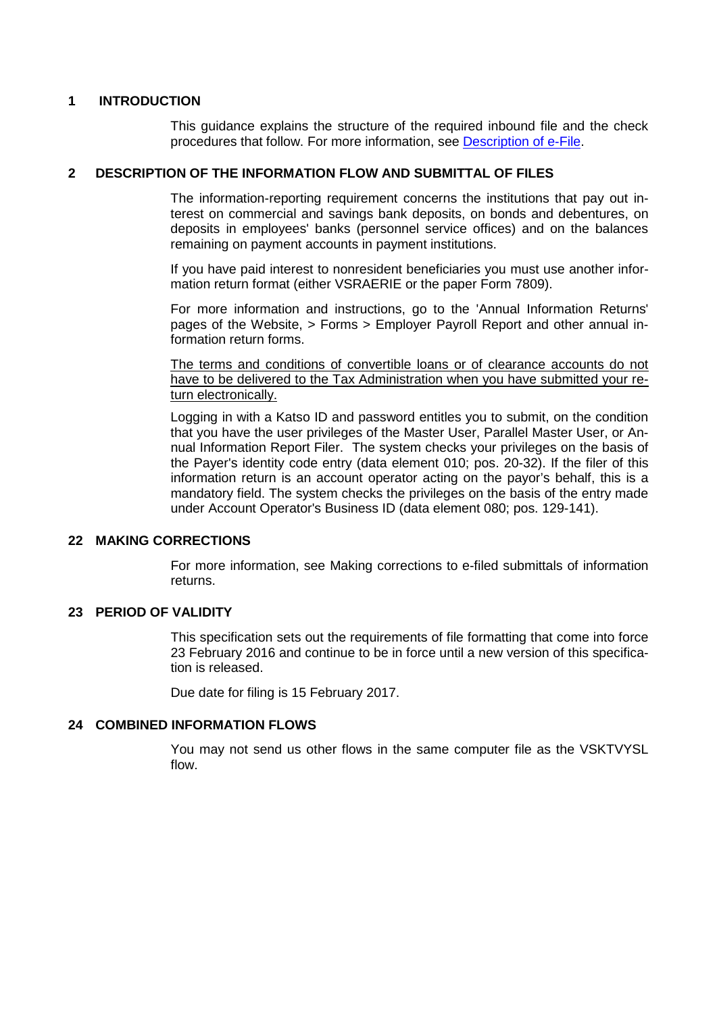### <span id="page-1-0"></span>**1 INTRODUCTION**

This guidance explains the structure of the required inbound file and the check procedures that follow. For more information, see [Description of e-File.](http://www.vero.fi/download/Sahkoisen_ilmoittamisen_yleiskuvaus_ENGL20/%7B956D482C-4A28-48D2-BE25-00112D97AE00%7D/12064)

#### <span id="page-1-1"></span>**2 DESCRIPTION OF THE INFORMATION FLOW AND SUBMITTAL OF FILES**

The information-reporting requirement concerns the institutions that pay out interest on commercial and savings bank deposits, on bonds and debentures, on deposits in employees' banks (personnel service offices) and on the balances remaining on payment accounts in payment institutions.

If you have paid interest to nonresident beneficiaries you must use another information return format (either VSRAERIE or the paper Form 7809).

For more information and instructions, go to the 'Annual Information Returns' pages of the Website, > Forms > Employer Payroll Report and other annual information return forms.

The terms and conditions of convertible loans or of clearance accounts do not have to be delivered to the Tax Administration when you have submitted your return electronically.

Logging in with a Katso ID and password entitles you to submit, on the condition that you have the user privileges of the Master User, Parallel Master User, or Annual Information Report Filer. The system checks your privileges on the basis of the Payer's identity code entry (data element 010; pos. 20-32). If the filer of this information return is an account operator acting on the payor's behalf, this is a mandatory field. The system checks the privileges on the basis of the entry made under Account Operator's Business ID (data element 080; pos. 129-141).

#### <span id="page-1-2"></span>**22 MAKING CORRECTIONS**

For more information, see Making corrections to e-filed submittals of information returns.

#### <span id="page-1-3"></span>**23 PERIOD OF VALIDITY**

This specification sets out the requirements of file formatting that come into force 23 February 2016 and continue to be in force until a new version of this specification is released.

Due date for filing is 15 February 2017.

#### <span id="page-1-4"></span>**24 COMBINED INFORMATION FLOWS**

You may not send us other flows in the same computer file as the VSKTVYSL flow.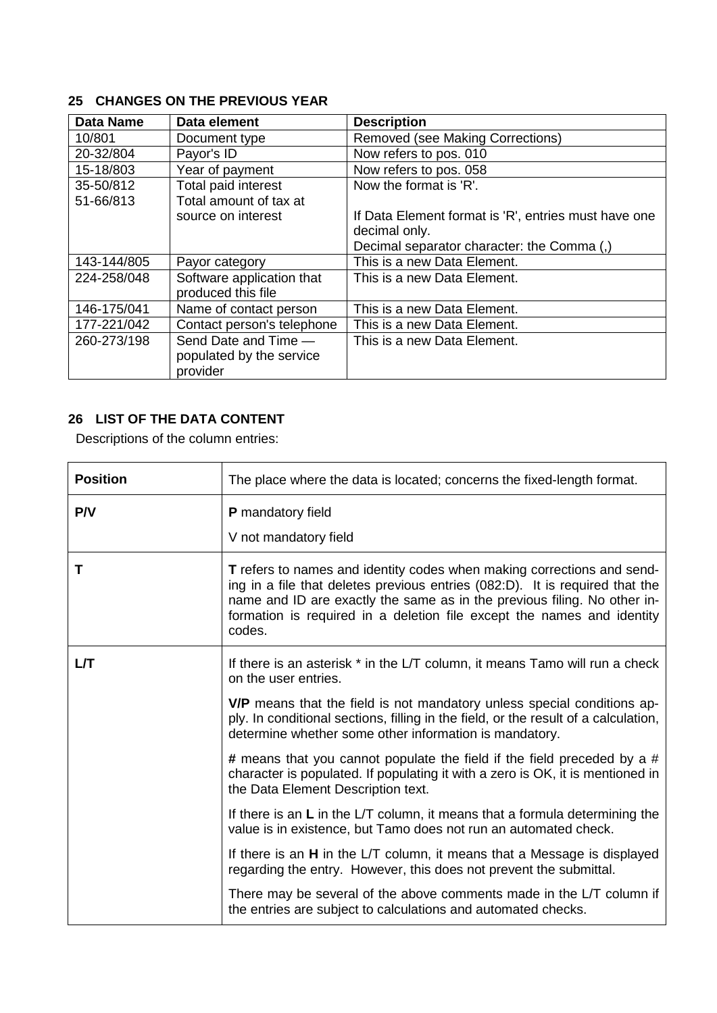## <span id="page-2-0"></span>**25 CHANGES ON THE PREVIOUS YEAR**

| <b>Data Name</b> | Data element               | <b>Description</b>                                   |
|------------------|----------------------------|------------------------------------------------------|
| 10/801           | Document type              | Removed (see Making Corrections)                     |
| 20-32/804        | Payor's ID                 | Now refers to pos. 010                               |
| 15-18/803        | Year of payment            | Now refers to pos. 058                               |
| 35-50/812        | Total paid interest        | Now the format is 'R'.                               |
| 51-66/813        | Total amount of tax at     |                                                      |
|                  | source on interest         | If Data Element format is 'R', entries must have one |
|                  |                            | decimal only.                                        |
|                  |                            | Decimal separator character: the Comma (,)           |
| 143-144/805      | Payor category             | This is a new Data Element.                          |
| 224-258/048      | Software application that  | This is a new Data Element.                          |
|                  | produced this file         |                                                      |
| 146-175/041      | Name of contact person     | This is a new Data Element.                          |
| 177-221/042      | Contact person's telephone | This is a new Data Element.                          |
| 260-273/198      | Send Date and Time -       | This is a new Data Element.                          |
|                  | populated by the service   |                                                      |
|                  | provider                   |                                                      |

٦

## <span id="page-2-1"></span>**26 LIST OF THE DATA CONTENT**

Descriptions of the column entries:

| <b>Position</b> | The place where the data is located; concerns the fixed-length format.                                                                                                                                                                                                                                                 |
|-----------------|------------------------------------------------------------------------------------------------------------------------------------------------------------------------------------------------------------------------------------------------------------------------------------------------------------------------|
| P/V             | P mandatory field<br>V not mandatory field                                                                                                                                                                                                                                                                             |
| Т               | T refers to names and identity codes when making corrections and send-<br>ing in a file that deletes previous entries (082:D). It is required that the<br>name and ID are exactly the same as in the previous filing. No other in-<br>formation is required in a deletion file except the names and identity<br>codes. |
| LЛ              | If there is an asterisk * in the L/T column, it means Tamo will run a check<br>on the user entries.                                                                                                                                                                                                                    |
|                 | V/P means that the field is not mandatory unless special conditions ap-<br>ply. In conditional sections, filling in the field, or the result of a calculation,<br>determine whether some other information is mandatory.                                                                                               |
|                 | # means that you cannot populate the field if the field preceded by a #<br>character is populated. If populating it with a zero is OK, it is mentioned in<br>the Data Element Description text.                                                                                                                        |
|                 | If there is an L in the L/T column, it means that a formula determining the<br>value is in existence, but Tamo does not run an automated check.                                                                                                                                                                        |
|                 | If there is an <b>H</b> in the L/T column, it means that a Message is displayed<br>regarding the entry. However, this does not prevent the submittal.                                                                                                                                                                  |
|                 | There may be several of the above comments made in the L/T column if<br>the entries are subject to calculations and automated checks.                                                                                                                                                                                  |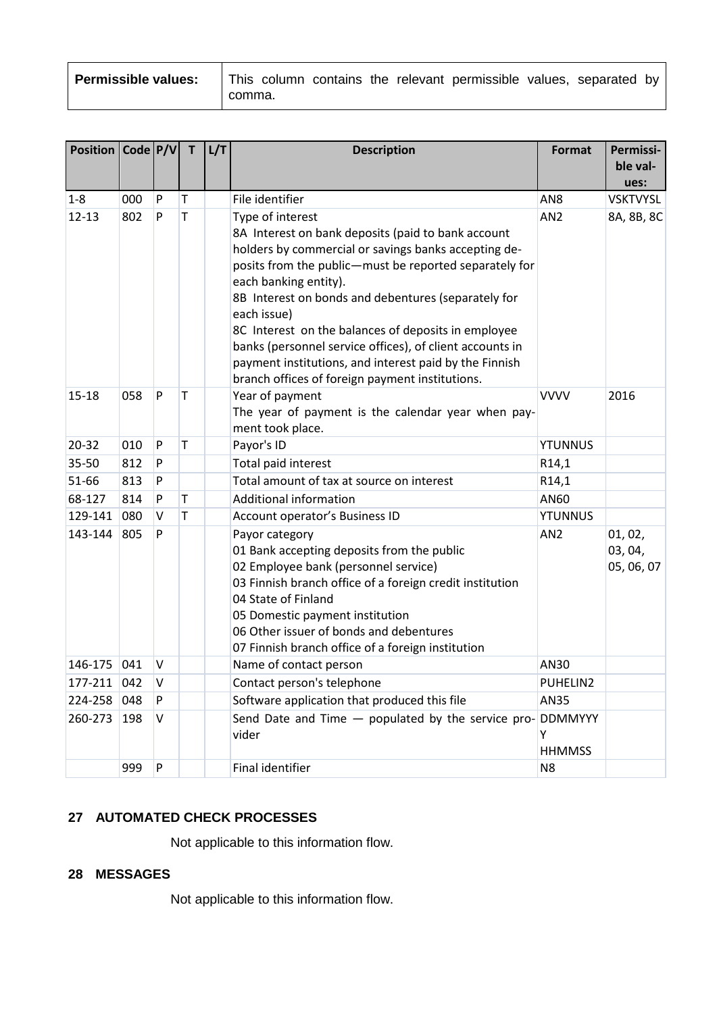| <b>Permissible values:</b> $\vert$ This column contains the relevant permissible values, separated by $\vert$ |        |  |  |  |  |
|---------------------------------------------------------------------------------------------------------------|--------|--|--|--|--|
|                                                                                                               | comma. |  |  |  |  |

| Position   Code   P/V |     |        | $\mathsf{T}$ | L/T | <b>Description</b>                                                                                                                                                                                                                                                                                                                                                                                                                                                                                                      | Format             | Permissi-<br>ble val-<br>ues:    |
|-----------------------|-----|--------|--------------|-----|-------------------------------------------------------------------------------------------------------------------------------------------------------------------------------------------------------------------------------------------------------------------------------------------------------------------------------------------------------------------------------------------------------------------------------------------------------------------------------------------------------------------------|--------------------|----------------------------------|
| $1 - 8$               | 000 | P      | T            |     | File identifier                                                                                                                                                                                                                                                                                                                                                                                                                                                                                                         | AN <sub>8</sub>    | <b>VSKTVYSL</b>                  |
| $12 - 13$             | 802 | P      | T            |     | Type of interest<br>8A Interest on bank deposits (paid to bank account<br>holders by commercial or savings banks accepting de-<br>posits from the public-must be reported separately for<br>each banking entity).<br>8B Interest on bonds and debentures (separately for<br>each issue)<br>8C Interest on the balances of deposits in employee<br>banks (personnel service offices), of client accounts in<br>payment institutions, and interest paid by the Finnish<br>branch offices of foreign payment institutions. | AN <sub>2</sub>    | 8A, 8B, 8C                       |
| $15 - 18$             | 058 | P      | T            |     | Year of payment<br>The year of payment is the calendar year when pay-<br>ment took place.                                                                                                                                                                                                                                                                                                                                                                                                                               | <b>VVVV</b>        | 2016                             |
| $20 - 32$             | 010 | P      | T            |     | Payor's ID                                                                                                                                                                                                                                                                                                                                                                                                                                                                                                              | <b>YTUNNUS</b>     |                                  |
| 35-50                 | 812 | P      |              |     | Total paid interest                                                                                                                                                                                                                                                                                                                                                                                                                                                                                                     | R14,1              |                                  |
| 51-66                 | 813 | P      |              |     | Total amount of tax at source on interest                                                                                                                                                                                                                                                                                                                                                                                                                                                                               | R14,1              |                                  |
| 68-127                | 814 | P      | T            |     | Additional information                                                                                                                                                                                                                                                                                                                                                                                                                                                                                                  | AN60               |                                  |
| 129-141               | 080 | V      | T            |     | Account operator's Business ID                                                                                                                                                                                                                                                                                                                                                                                                                                                                                          | <b>YTUNNUS</b>     |                                  |
| 143-144               | 805 | P      |              |     | Payor category<br>01 Bank accepting deposits from the public<br>02 Employee bank (personnel service)<br>03 Finnish branch office of a foreign credit institution<br>04 State of Finland<br>05 Domestic payment institution<br>06 Other issuer of bonds and debentures<br>07 Finnish branch office of a foreign institution                                                                                                                                                                                              | AN <sub>2</sub>    | 01, 02,<br>03, 04,<br>05, 06, 07 |
| 146-175               | 041 | $\vee$ |              |     | Name of contact person                                                                                                                                                                                                                                                                                                                                                                                                                                                                                                  | AN30               |                                  |
| 177-211               | 042 | V      |              |     | Contact person's telephone                                                                                                                                                                                                                                                                                                                                                                                                                                                                                              | PUHELIN2           |                                  |
| 224-258               | 048 | P      |              |     | Software application that produced this file                                                                                                                                                                                                                                                                                                                                                                                                                                                                            | AN35               |                                  |
| 260-273               | 198 | V      |              |     | Send Date and Time $-$ populated by the service pro- DDMMYYY<br>vider                                                                                                                                                                                                                                                                                                                                                                                                                                                   | Υ<br><b>HHMMSS</b> |                                  |
|                       | 999 | P      |              |     | Final identifier                                                                                                                                                                                                                                                                                                                                                                                                                                                                                                        | N <sub>8</sub>     |                                  |

## <span id="page-3-0"></span>**27 AUTOMATED CHECK PROCESSES**

Not applicable to this information flow.

### <span id="page-3-1"></span>**28 MESSAGES**

Not applicable to this information flow.